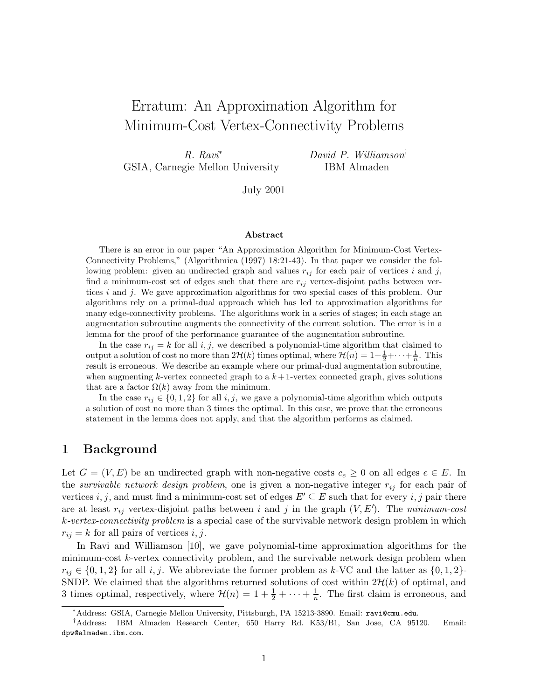# Erratum: An Approximation Algorithm for Minimum-Cost Vertex-Connectivity Problems

R. Ravi<sup>∗</sup> GSIA, Carnegie Mellon University David P. Williamson† IBM Almaden

July 2001

#### Abstract

There is an error in our paper "An Approximation Algorithm for Minimum-Cost Vertex-Connectivity Problems," (Algorithmica (1997) 18:21-43). In that paper we consider the following problem: given an undirected graph and values  $r_{ij}$  for each pair of vertices i and j, find a minimum-cost set of edges such that there are  $r_{ij}$  vertex-disjoint paths between vertices i and j. We gave approximation algorithms for two special cases of this problem. Our algorithms rely on a primal-dual approach which has led to approximation algorithms for many edge-connectivity problems. The algorithms work in a series of stages; in each stage an augmentation subroutine augments the connectivity of the current solution. The error is in a lemma for the proof of the performance guarantee of the augmentation subroutine.

In the case  $r_{ij} = k$  for all i, j, we described a polynomial-time algorithm that claimed to output a solution of cost no more than  $2\mathcal{H}(k)$  times optimal, where  $\mathcal{H}(n) = 1 + \frac{1}{2} + \cdots + \frac{1}{n}$ . This result is erroneous. We describe an example where our primal-dual augmentation subroutine, when augmenting k-vertex connected graph to a  $k+1$ -vertex connected graph, gives solutions that are a factor  $\Omega(k)$  away from the minimum.

In the case  $r_{ij} \in \{0, 1, 2\}$  for all i, j, we gave a polynomial-time algorithm which outputs a solution of cost no more than 3 times the optimal. In this case, we prove that the erroneous statement in the lemma does not apply, and that the algorithm performs as claimed.

### 1 Background

Let  $G = (V, E)$  be an undirected graph with non-negative costs  $c_e \geq 0$  on all edges  $e \in E$ . In the *survivable network design problem*, one is given a non-negative integer  $r_{ij}$  for each pair of vertices i, j, and must find a minimum-cost set of edges  $E' \subseteq E$  such that for every i, j pair there are at least  $r_{ij}$  vertex-disjoint paths between i and j in the graph  $(V, E')$ . The minimum-cost k-vertex-connectivity problem is a special case of the survivable network design problem in which  $r_{ij} = k$  for all pairs of vertices i, j.

In Ravi and Williamson [10], we gave polynomial-time approximation algorithms for the minimum-cost k-vertex connectivity problem, and the survivable network design problem when  $r_{ij} \in \{0, 1, 2\}$  for all i, j. We abbreviate the former problem as k-VC and the latter as  $\{0, 1, 2\}$ -SNDP. We claimed that the algorithms returned solutions of cost within  $2\mathcal{H}(k)$  of optimal, and 3 times optimal, respectively, where  $\mathcal{H}(n) = 1 + \frac{1}{2} + \cdots + \frac{1}{n}$  $\frac{1}{n}$ . The first claim is erroneous, and

<sup>∗</sup>Address: GSIA, Carnegie Mellon University, Pittsburgh, PA 15213-3890. Email: ravi@cmu.edu.

<sup>†</sup>Address: IBM Almaden Research Center, 650 Harry Rd. K53/B1, San Jose, CA 95120. Email: dpw@almaden.ibm.com.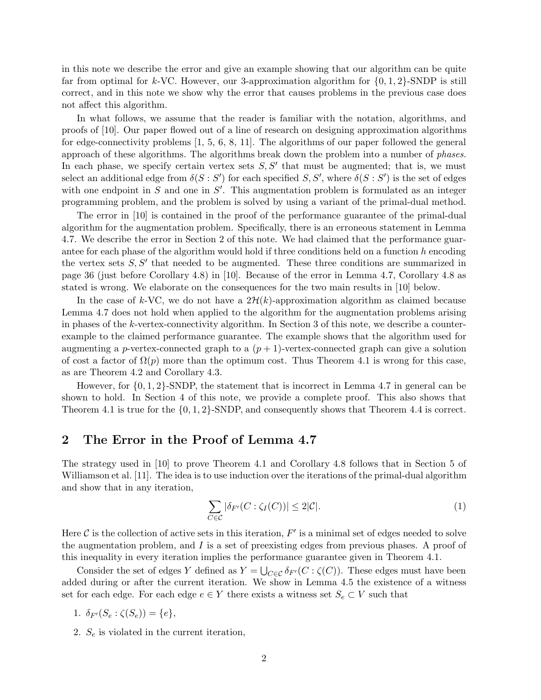in this note we describe the error and give an example showing that our algorithm can be quite far from optimal for k-VC. However, our 3-approximation algorithm for  $\{0, 1, 2\}$ -SNDP is still correct, and in this note we show why the error that causes problems in the previous case does not affect this algorithm.

In what follows, we assume that the reader is familiar with the notation, algorithms, and proofs of [10]. Our paper flowed out of a line of research on designing approximation algorithms for edge-connectivity problems [1, 5, 6, 8, 11]. The algorithms of our paper followed the general approach of these algorithms. The algorithms break down the problem into a number of phases. In each phase, we specify certain vertex sets  $S, S'$  that must be augmented; that is, we must select an additional edge from  $\delta(S : S')$  for each specified  $S, S'$ , where  $\delta(S : S')$  is the set of edges with one endpoint in  $S$  and one in  $S'$ . This augmentation problem is formulated as an integer programming problem, and the problem is solved by using a variant of the primal-dual method.

The error in [10] is contained in the proof of the performance guarantee of the primal-dual algorithm for the augmentation problem. Specifically, there is an erroneous statement in Lemma 4.7. We describe the error in Section 2 of this note. We had claimed that the performance guarantee for each phase of the algorithm would hold if three conditions held on a function  $h$  encoding the vertex sets  $S, S'$  that needed to be augmented. These three conditions are summarized in page 36 (just before Corollary 4.8) in [10]. Because of the error in Lemma 4.7, Corollary 4.8 as stated is wrong. We elaborate on the consequences for the two main results in [10] below.

In the case of k-VC, we do not have a  $2\mathcal{H}(k)$ -approximation algorithm as claimed because Lemma 4.7 does not hold when applied to the algorithm for the augmentation problems arising in phases of the k-vertex-connectivity algorithm. In Section 3 of this note, we describe a counterexample to the claimed performance guarantee. The example shows that the algorithm used for augmenting a p-vertex-connected graph to a  $(p+1)$ -vertex-connected graph can give a solution of cost a factor of  $\Omega(p)$  more than the optimum cost. Thus Theorem 4.1 is wrong for this case, as are Theorem 4.2 and Corollary 4.3.

However, for  $\{0, 1, 2\}$ -SNDP, the statement that is incorrect in Lemma 4.7 in general can be shown to hold. In Section 4 of this note, we provide a complete proof. This also shows that Theorem 4.1 is true for the {0, 1, 2}-SNDP, and consequently shows that Theorem 4.4 is correct.

### 2 The Error in the Proof of Lemma 4.7

The strategy used in [10] to prove Theorem 4.1 and Corollary 4.8 follows that in Section 5 of Williamson et al. [11]. The idea is to use induction over the iterations of the primal-dual algorithm and show that in any iteration,

$$
\sum_{C \in \mathcal{C}} |\delta_{F'}(C : \zeta_I(C))| \le 2|\mathcal{C}|. \tag{1}
$$

Here  $\mathcal C$  is the collection of active sets in this iteration,  $F'$  is a minimal set of edges needed to solve the augmentation problem, and  $I$  is a set of preexisting edges from previous phases. A proof of this inequality in every iteration implies the performance guarantee given in Theorem 4.1.

Consider the set of edges Y defined as  $Y = \bigcup_{C \in \mathcal{C}} \delta_{F'}(C : \zeta(C))$ . These edges must have been added during or after the current iteration. We show in Lemma 4.5 the existence of a witness set for each edge. For each edge  $e \in Y$  there exists a witness set  $S_e \subset V$  such that

$$
1. \ \delta_{F'}(S_e:\zeta(S_e))=\{e\},\
$$

2.  $S_e$  is violated in the current iteration,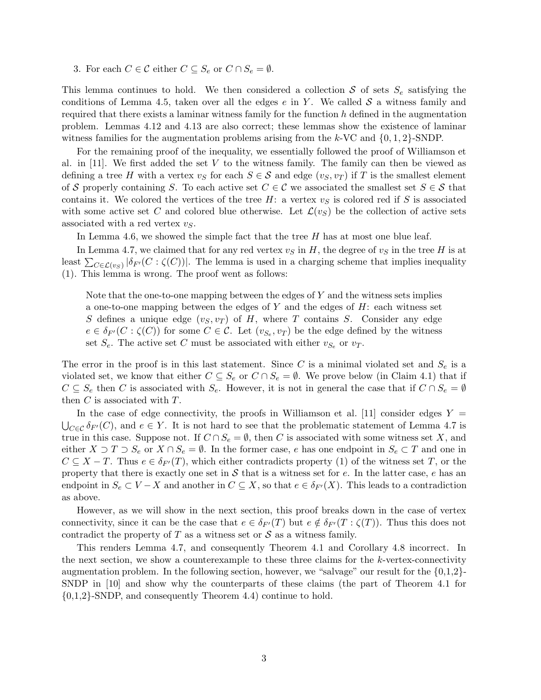3. For each  $C \in \mathcal{C}$  either  $C \subseteq S_e$  or  $C \cap S_e = \emptyset$ .

This lemma continues to hold. We then considered a collection S of sets  $S_e$  satisfying the conditions of Lemma 4.5, taken over all the edges  $e$  in Y. We called  $S$  a witness family and required that there exists a laminar witness family for the function  $h$  defined in the augmentation problem. Lemmas 4.12 and 4.13 are also correct; these lemmas show the existence of laminar witness families for the augmentation problems arising from the k-VC and  $\{0, 1, 2\}$ -SNDP.

For the remaining proof of the inequality, we essentially followed the proof of Williamson et al. in  $[11]$ . We first added the set V to the witness family. The family can then be viewed as defining a tree H with a vertex  $v_S$  for each  $S \in \mathcal{S}$  and edge  $(v_S, v_T)$  if T is the smallest element of S properly containing S. To each active set  $C \in \mathcal{C}$  we associated the smallest set  $S \in \mathcal{S}$  that contains it. We colored the vertices of the tree  $H$ : a vertex  $v<sub>S</sub>$  is colored red if S is associated with some active set C and colored blue otherwise. Let  $\mathcal{L}(v_S)$  be the collection of active sets associated with a red vertex  $v<sub>S</sub>$ .

In Lemma 4.6, we showed the simple fact that the tree  $H$  has at most one blue leaf.

In Lemma 4.7, we claimed that for any red vertex  $v<sub>S</sub>$  in H, the degree of  $v<sub>S</sub>$  in the tree H is at least  $\sum_{C \in \mathcal{L}(v_S)} |\delta_{F'}(C : \zeta(C))|$ . The lemma is used in a charging scheme that implies inequality (1). This lemma is wrong. The proof went as follows:

Note that the one-to-one mapping between the edges of Y and the witness sets implies a one-to-one mapping between the edges of Y and the edges of  $H$ : each witness set S defines a unique edge  $(v<sub>S</sub>, v<sub>T</sub>)$  of H, where T contains S. Consider any edge  $e \in \delta_{F'}(C : \zeta(C))$  for some  $C \in \mathcal{C}$ . Let  $(v_{S_e}, v_T)$  be the edge defined by the witness set  $S_e$ . The active set C must be associated with either  $v_{S_e}$  or  $v_T$ .

The error in the proof is in this last statement. Since C is a minimal violated set and  $S_e$  is a violated set, we know that either  $C \subseteq S_e$  or  $C \cap S_e = \emptyset$ . We prove below (in Claim 4.1) that if  $C \subseteq S_e$  then C is associated with  $S_e$ . However, it is not in general the case that if  $C \cap S_e = \emptyset$ then  $C$  is associated with  $T$ .

In the case of edge connectivity, the proofs in Williamson et al. [11] consider edges  $Y =$  $\bigcup_{C \in \mathcal{C}} \delta_{F'}(C)$ , and  $e \in Y$ . It is not hard to see that the problematic statement of Lemma 4.7 is true in this case. Suppose not. If  $C \cap S_e = \emptyset$ , then C is associated with some witness set X, and either  $X \supset T \supset S_e$  or  $X \cap S_e = \emptyset$ . In the former case, e has one endpoint in  $S_e \subset T$  and one in  $C \subseteq X - T$ . Thus  $e \in \delta_{F'}(T)$ , which either contradicts property (1) of the witness set T, or the property that there is exactly one set in  $S$  that is a witness set for e. In the latter case, e has an endpoint in  $S_e \subset V - X$  and another in  $C \subseteq X$ , so that  $e \in \delta_{F'}(X)$ . This leads to a contradiction as above.

However, as we will show in the next section, this proof breaks down in the case of vertex connectivity, since it can be the case that  $e \in \delta_{F'}(T)$  but  $e \notin \delta_{F'}(T : \zeta(T))$ . Thus this does not contradict the property of  $T$  as a witness set or  $S$  as a witness family.

This renders Lemma 4.7, and consequently Theorem 4.1 and Corollary 4.8 incorrect. In the next section, we show a counterexample to these three claims for the k-vertex-connectivity augmentation problem. In the following section, however, we "salvage" our result for the  $\{0,1,2\}$ -SNDP in [10] and show why the counterparts of these claims (the part of Theorem 4.1 for {0,1,2}-SNDP, and consequently Theorem 4.4) continue to hold.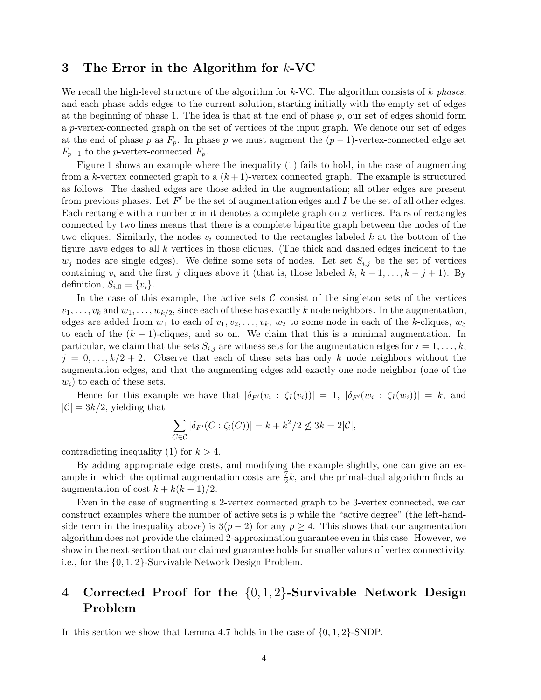## 3 The Error in the Algorithm for  $k$ -VC

We recall the high-level structure of the algorithm for  $k$ -VC. The algorithm consists of k phases, and each phase adds edges to the current solution, starting initially with the empty set of edges at the beginning of phase 1. The idea is that at the end of phase  $p$ , our set of edges should form a p-vertex-connected graph on the set of vertices of the input graph. We denote our set of edges at the end of phase p as  $F_p$ . In phase p we must augment the  $(p-1)$ -vertex-connected edge set  $F_{p-1}$  to the p-vertex-connected  $F_p$ .

Figure 1 shows an example where the inequality (1) fails to hold, in the case of augmenting from a k-vertex connected graph to a  $(k+1)$ -vertex connected graph. The example is structured as follows. The dashed edges are those added in the augmentation; all other edges are present from previous phases. Let  $F'$  be the set of augmentation edges and  $I$  be the set of all other edges. Each rectangle with a number  $x$  in it denotes a complete graph on  $x$  vertices. Pairs of rectangles connected by two lines means that there is a complete bipartite graph between the nodes of the two cliques. Similarly, the nodes  $v_i$  connected to the rectangles labeled k at the bottom of the figure have edges to all  $k$  vertices in those cliques. (The thick and dashed edges incident to the  $w_j$  nodes are single edges). We define some sets of nodes. Let set  $S_{i,j}$  be the set of vertices containing  $v_i$  and the first j cliques above it (that is, those labeled k,  $k-1, \ldots, k-j+1$ ). By definition,  $S_{i,0} = \{v_i\}.$ 

In the case of this example, the active sets  $\mathcal C$  consist of the singleton sets of the vertices  $v_1, \ldots, v_k$  and  $w_1, \ldots, w_{k/2}$ , since each of these has exactly k node neighbors. In the augmentation, edges are added from  $w_1$  to each of  $v_1, v_2, \ldots, v_k$ ,  $w_2$  to some node in each of the k-cliques,  $w_3$ to each of the  $(k - 1)$ -cliques, and so on. We claim that this is a minimal augmentation. In particular, we claim that the sets  $S_{i,j}$  are witness sets for the augmentation edges for  $i = 1, \ldots, k$ ,  $j = 0, \ldots, k/2 + 2$ . Observe that each of these sets has only k node neighbors without the augmentation edges, and that the augmenting edges add exactly one node neighbor (one of the  $w_i$ ) to each of these sets.

Hence for this example we have that  $|\delta_{F'}(v_i : \zeta_I(v_i))| = 1, |\delta_{F'}(w_i : \zeta_I(w_i))| = k$ , and  $|\mathcal{C}| = 3k/2$ , yielding that

$$
\sum_{C \in \mathcal{C}} |\delta_{F'}(C : \zeta_i(C))| = k + k^2/2 \leq 3k = 2|\mathcal{C}|,
$$

contradicting inequality (1) for  $k > 4$ .

By adding appropriate edge costs, and modifying the example slightly, one can give an example in which the optimal augmentation costs are  $\frac{7}{2}k$ , and the primal-dual algorithm finds an augmentation of cost  $k + k(k-1)/2$ .

Even in the case of augmenting a 2-vertex connected graph to be 3-vertex connected, we can construct examples where the number of active sets is  $p$  while the "active degree" (the left-handside term in the inequality above) is  $3(p-2)$  for any  $p \geq 4$ . This shows that our augmentation algorithm does not provide the claimed 2-approximation guarantee even in this case. However, we show in the next section that our claimed guarantee holds for smaller values of vertex connectivity, i.e., for the {0, 1, 2}-Survivable Network Design Problem.

## 4 Corrected Proof for the {0, 1, 2}-Survivable Network Design Problem

In this section we show that Lemma 4.7 holds in the case of  $\{0, 1, 2\}$ -SNDP.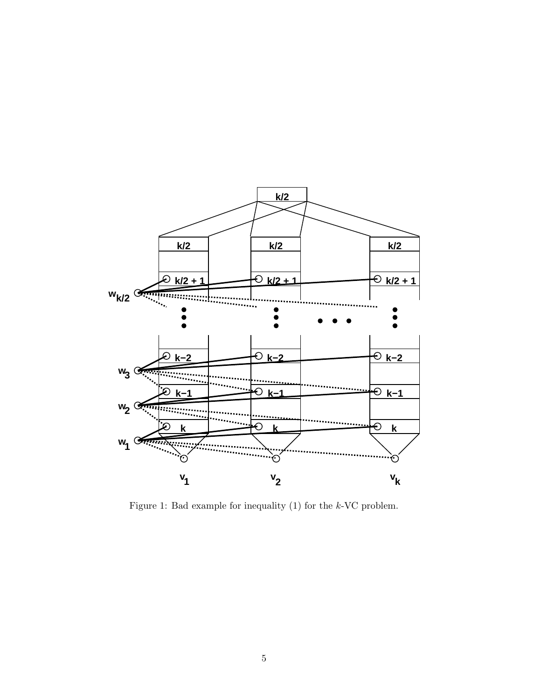

Figure 1: Bad example for inequality (1) for the k-VC problem.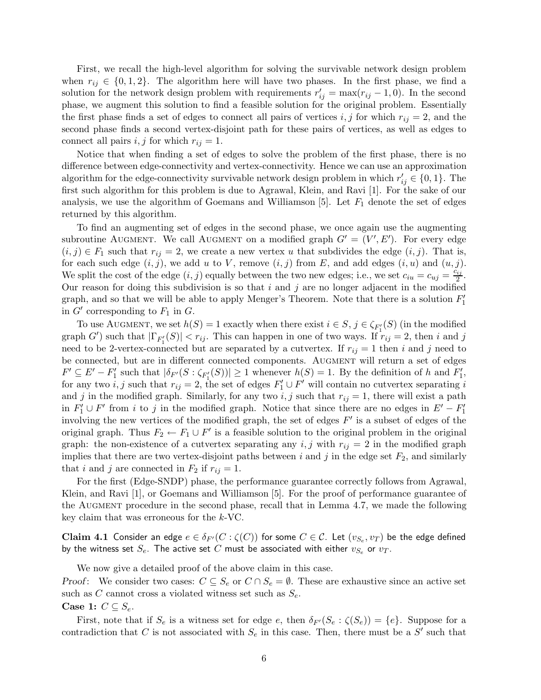First, we recall the high-level algorithm for solving the survivable network design problem when  $r_{ij} \in \{0, 1, 2\}$ . The algorithm here will have two phases. In the first phase, we find a solution for the network design problem with requirements  $r'_{ij} = \max(r_{ij} - 1, 0)$ . In the second phase, we augment this solution to find a feasible solution for the original problem. Essentially the first phase finds a set of edges to connect all pairs of vertices i, j for which  $r_{ij} = 2$ , and the second phase finds a second vertex-disjoint path for these pairs of vertices, as well as edges to connect all pairs  $i, j$  for which  $r_{ij} = 1$ .

Notice that when finding a set of edges to solve the problem of the first phase, there is no difference between edge-connectivity and vertex-connectivity. Hence we can use an approximation algorithm for the edge-connectivity survivable network design problem in which  $r'_{ij} \in \{0, 1\}$ . The first such algorithm for this problem is due to Agrawal, Klein, and Ravi [1]. For the sake of our analysis, we use the algorithm of Goemans and Williamson [5]. Let  $F_1$  denote the set of edges returned by this algorithm.

To find an augmenting set of edges in the second phase, we once again use the augmenting subroutine AUGMENT. We call AUGMENT on a modified graph  $G' = (V', E')$ . For every edge  $(i, j) \in F_1$  such that  $r_{ij} = 2$ , we create a new vertex u that subdivides the edge  $(i, j)$ . That is, for each such edge  $(i, j)$ , we add u to V, remove  $(i, j)$  from E, and add edges  $(i, u)$  and  $(u, j)$ . We split the cost of the edge  $(i, j)$  equally between the two new edges; i.e., we set  $c_{iu} = c_{uj} = \frac{c_{ij}}{2}$  $\frac{ij}{2}$ . Our reason for doing this subdivision is so that  $i$  and  $j$  are no longer adjacent in the modified graph, and so that we will be able to apply Menger's Theorem. Note that there is a solution  $F'_1$ in  $G'$  corresponding to  $F_1$  in  $G$ .

To use AUGMENT, we set  $h(S) = 1$  exactly when there exist  $i \in S$ ,  $j \in \zeta_{F'_1}(S)$  (in the modified graph G') such that  $|\Gamma_{F'_1}(S)| < r_{ij}$ . This can happen in one of two ways. If  $r_{ij} = 2$ , then i and j need to be 2-vertex-connected but are separated by a cutvertex. If  $r_{ij} = 1$  then i and j need to be connected, but are in different connected components. AUGMENT will return a set of edges  $F' \subseteq E' - F'_1$  such that  $|\delta_{F'}(S : \zeta_{F'_1}(S))| \ge 1$  whenever  $h(S) = 1$ . By the definition of h and  $F'_1$ , for any two  $i, j$  such that  $r_{ij} = 2$ , the set of edges  $F'_1 \cup F'$  will contain no cutvertex separating i and j in the modified graph. Similarly, for any two i, j such that  $r_{ij} = 1$ , there will exist a path in  $F'_1 \cup F'$  from i to j in the modified graph. Notice that since there are no edges in  $E' - F'_1$ involving the new vertices of the modified graph, the set of edges  $F'$  is a subset of edges of the original graph. Thus  $F_2 \leftarrow F_1 \cup F'$  is a feasible solution to the original problem in the original graph: the non-existence of a cutvertex separating any i, j with  $r_{ij} = 2$  in the modified graph implies that there are two vertex-disjoint paths between i and j in the edge set  $F_2$ , and similarly that i and j are connected in  $F_2$  if  $r_{ij} = 1$ .

For the first (Edge-SNDP) phase, the performance guarantee correctly follows from Agrawal, Klein, and Ravi [1], or Goemans and Williamson [5]. For the proof of performance guarantee of the AUGMENT procedure in the second phase, recall that in Lemma 4.7, we made the following key claim that was erroneous for the k-VC.

**Claim 4.1** Consider an edge  $e \in \delta_{F'}(C : \zeta(C))$  for some  $C \in \mathcal{C}$ . Let  $(v_{S_e}, v_T)$  be the edge defined by the witness set  $S_e$ . The active set C must be associated with either  $v_{S_e}$  or  $v_T$ .

We now give a detailed proof of the above claim in this case.

Proof: We consider two cases:  $C \subseteq S_e$  or  $C \cap S_e = \emptyset$ . These are exhaustive since an active set such as C cannot cross a violated witness set such as  $S_e$ .

Case 1:  $C \subseteq S_e$ .

First, note that if  $S_e$  is a witness set for edge e, then  $\delta_{F'}(S_e : \zeta(S_e)) = \{e\}$ . Suppose for a contradiction that C is not associated with  $S_e$  in this case. Then, there must be a S' such that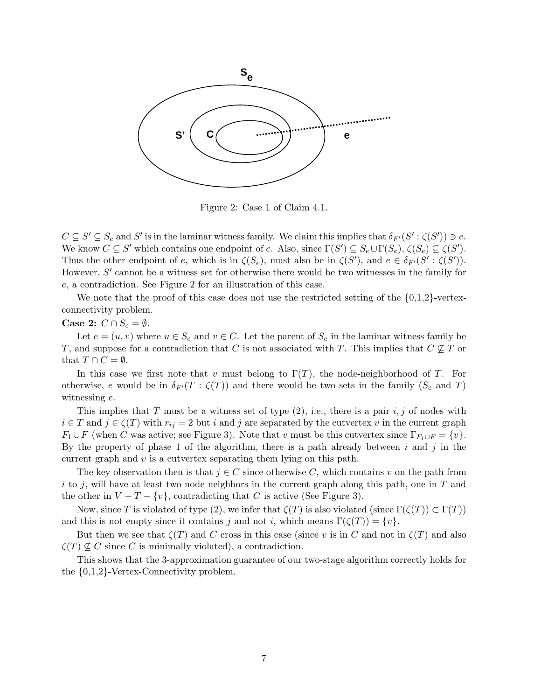

Figure 2: Case 1 of Claim 4.1.

 $C \subseteq S' \subseteq S_e$  and  $S'$  is in the laminar witness family. We claim this implies that  $\delta_{F'}(S': \zeta(S')) \ni e$ . We know  $C \subseteq S'$  which contains one endpoint of e. Also, since  $\Gamma(S') \subseteq S_e \cup \Gamma(S_e)$ ,  $\zeta(S_e) \subseteq \zeta(S')$ . Thus the other endpoint of e, which is in  $\zeta(S_e)$ , must also be in  $\zeta(S')$ , and  $e \in \delta_{F'}(S' : \zeta(S'))$ . However,  $S'$  cannot be a witness set for otherwise there would be two witnesses in the family for e, a contradiction. See Figure 2 for an illustration of this case.

We note that the proof of this case does not use the restricted setting of the  $\{0,1,2\}$ -vertexconnectivity problem.

### Case 2:  $C \cap S_e = \emptyset$ .

Let  $e = (u, v)$  where  $u \in S_e$  and  $v \in C$ . Let the parent of  $S_e$  in the laminar witness family be T, and suppose for a contradiction that C is not associated with T. This implies that  $C \nsubseteq T$  or that  $T \cap C = \emptyset$ .

In this case we first note that v must belong to  $\Gamma(T)$ , the node-neighborhood of T. For otherwise, e would be in  $\delta_{F'}(T : \zeta(T))$  and there would be two sets in the family  $(S_e \text{ and } T)$ witnessing e.

This implies that T must be a witness set of type  $(2)$ , i.e., there is a pair i, j of nodes with  $i \in T$  and  $j \in \zeta(T)$  with  $r_{ij} = 2$  but i and j are separated by the cutvertex v in the current graph  $F_1 \cup F$  (when C was active; see Figure 3). Note that v must be this cutvertex since  $\Gamma_{F_1 \cup F} = \{v\}$ . By the property of phase 1 of the algorithm, there is a path already between  $i$  and  $j$  in the current graph and  $v$  is a cutvertex separating them lying on this path.

The key observation then is that  $j \in C$  since otherwise C, which contains v on the path from i to j, will have at least two node neighbors in the current graph along this path, one in  $T$  and the other in  $V - T - \{v\}$ , contradicting that C is active (See Figure 3).

Now, since T is violated of type (2), we infer that  $\zeta(T)$  is also violated (since  $\Gamma(\zeta(T)) \subset \Gamma(T)$ ) and this is not empty since it contains j and not i, which means  $\Gamma(\zeta(T)) = \{v\}.$ 

But then we see that  $\zeta(T)$  and C cross in this case (since v is in C and not in  $\zeta(T)$  and also  $\zeta(T) \nsubseteq C$  since C is minimally violated), a contradiction.

This shows that the 3-approximation guarantee of our two-stage algorithm correctly holds for the {0,1,2}-Vertex-Connectivity problem.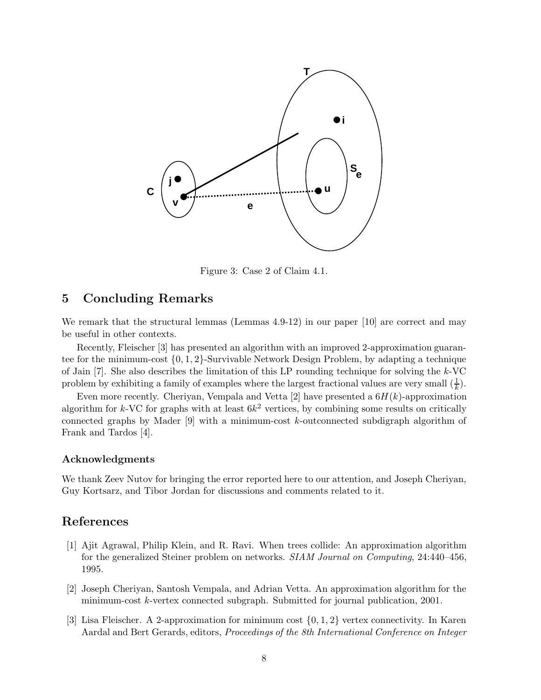

Figure 3: Case 2 of Claim 4.1.

## 5 Concluding Remarks

We remark that the structural lemmas (Lemmas 4.9-12) in our paper [10] are correct and may be useful in other contexts.

Recently, Fleischer [3] has presented an algorithm with an improved 2-approximation guarantee for the minimum-cost  $\{0, 1, 2\}$ -Survivable Network Design Problem, by adapting a technique of Jain [7]. She also describes the limitation of this LP rounding technique for solving the k-VC problem by exhibiting a family of examples where the largest fractional values are very small  $(\frac{1}{k})$ .

Even more recently. Cheriyan, Vempala and Vetta [2] have presented a  $6H(k)$ -approximation algorithm for k-VC for graphs with at least  $6k^2$  vertices, by combining some results on critically connected graphs by Mader  $[9]$  with a minimum-cost k-outconnected subdigraph algorithm of Frank and Tardos [4].

#### Acknowledgments

We thank Zeev Nutov for bringing the error reported here to our attention, and Joseph Cheriyan, Guy Kortsarz, and Tibor Jordan for discussions and comments related to it.

## References

- [1] Ajit Agrawal, Philip Klein, and R. Ravi. When trees collide: An approximation algorithm for the generalized Steiner problem on networks. SIAM Journal on Computing, 24:440–456, 1995.
- [2] Joseph Cheriyan, Santosh Vempala, and Adrian Vetta. An approximation algorithm for the minimum-cost k-vertex connected subgraph. Submitted for journal publication, 2001.
- [3] Lisa Fleischer. A 2-approximation for minimum cost  $\{0, 1, 2\}$  vertex connectivity. In Karen Aardal and Bert Gerards, editors, Proceedings of the 8th International Conference on Integer